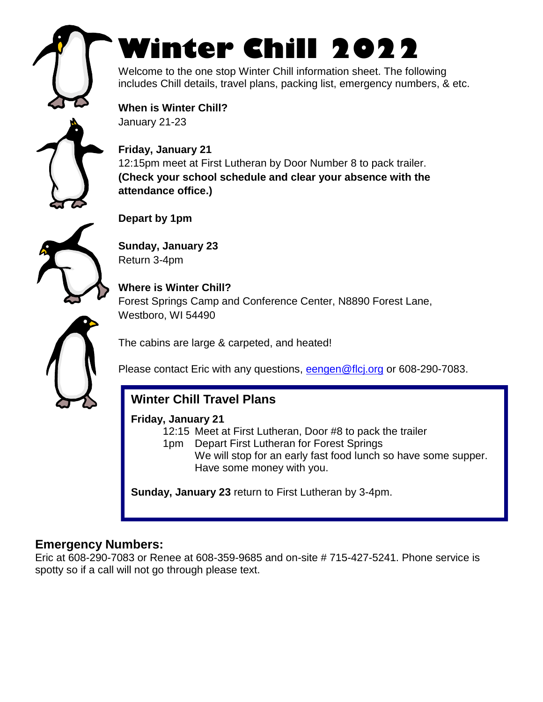

# **Winter Chill 2022**

Welcome to the one stop Winter Chill information sheet. The following includes Chill details, travel plans, packing list, emergency numbers, & etc.

**When is Winter Chill?** January 21-23



**Friday, January 21** 12:15pm meet at First Lutheran by Door Number 8 to pack trailer. **(Check your school schedule and clear your absence with the attendance office.)**



**Depart by 1pm**

**Sunday, January 23** Return 3-4pm

**Where is Winter Chill?** Forest Springs Camp and Conference Center, N8890 Forest Lane, Westboro, WI 54490

The cabins are large & carpeted, and heated!

Please contact Eric with any questions, [eengen@flcj.org](mailto:eengen@flcj.org) or 608-290-7083.

## **Winter Chill Travel Plans**

#### **Friday, January 21**

12:15 Meet at First Lutheran, Door #8 to pack the trailer

1pm Depart First Lutheran for Forest Springs We will stop for an early fast food lunch so have some supper. Have some money with you.

**Sunday, January 23** return to First Lutheran by 3-4pm.

## **Emergency Numbers:**

Eric at 608-290-7083 or Renee at 608-359-9685 and on-site # 715-427-5241. Phone service is spotty so if a call will not go through please text.